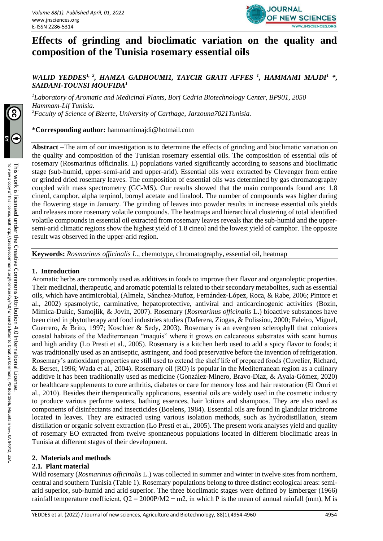

# **Effects of grinding and bioclimatic variation on the quality and composition of the Tunisia rosemary essential oils**

# *WALID YEDDES1, 2, HAMZA GADHOUMI1, TAYCIR GRATI AFFES <sup>1</sup> , HAMMAMI MAJDI<sup>1</sup> \*, SAIDANI-TOUNSI MOUFIDA<sup>1</sup>*

*<sup>1</sup>Laboratory of Aromatic and Medicinal Plants, Borj Cedria Biotechnology Center, BP901, 2050 Hammam-Lif Tunisia. <sup>2</sup>Faculty of Science of Bizerte, University of Carthage, Jarzouna7021Tunisia.*

**\*Corresponding author:** hammamimajdi@hotmail.com

**Abstract –**The aim of our investigation is to determine the effects of grinding and bioclimatic variation on the quality and composition of the Tunisian rosemary essential oils. The composition of essential oils of rosemary (Rosmarinus officinalis. L) populations varied significantly according to seasons and bioclimatic stage (sub-humid, upper-semi-arid and upper-arid). Essential oils were extracted by Clevenger from entire or grinded dried rosemary leaves. The composition of essential oils was determined by gas chromatography coupled with mass spectrometry (GC-MS). Our results showed that the main compounds found are: 1.8 cineol, camphor, alpha terpinol, bornyl acetate and linalool. The number of compounds was higher during the flowering stage in January. The grinding of leaves into powder results in increase essential oils yields and releases more rosemary volatile compounds. The heatmaps and hierarchical clustering of total identified volatile compounds in essential oil extracted from rosemary leaves reveals that the sub-humid and the uppersemi-arid climatic regions show the highest yield of 1.8 cineol and the lowest yield of camphor. The opposite result was observed in the upper-arid region.

**Keywords:** *Rosmarinus officinalis L*., chemotype, chromatography, essential oil, heatmap

## **1. Introduction**

Aromatic herbs are commonly used as additives in foods to improve their flavor and organoleptic properties. Their medicinal, therapeutic, and aromatic potential is related to their secondary metabolites, such as essential oils, which have antimicrobial, (Almela, Sánchez-Muñoz, Fernández-López, Roca, & Rabe, 2006; Pintore et al., 2002) spasmolytic, carminative, hepatoprotective, antiviral and anticarcinogenic activities (Bozin, Mimica-Dukic, Samojlik, & Jovin, 2007). Rosemary (*Rosmarinus officinalis* L.) bioactive substances have been cited in phytotherapy and food industries studies (Daferera, Ziogas, & Polissiou, 2000; Faleiro, Miguel, Guerrero, & Brito, 1997; Koschier & Sedy, 2003). Rosemary is an evergreen sclerophyll that colonizes coastal habitats of the Mediterranean "maquis" where it grows on calcareous substrates with scant humus and high aridity (Lo Presti et al., 2005). Rosemary is a kitchen herb used to add a spicy flavor to foods; it was traditionally used as an antiseptic, astringent, and food preservative before the invention of refrigeration. Rosemary's antioxidant properties are still used to extend the shelf life of prepared foods (Cuvelier, Richard, & Berset, 1996; Wada et al., 2004). Rosemary oil (RO) is popular in the Mediterranean region as a culinary additive it has been traditionally used as medicine (González-Minero, Bravo-Díaz, & Ayala-Gómez, 2020) or healthcare supplements to cure arthritis, diabetes or care for memory loss and hair restoration (El Omri et al., 2010). Besides their therapeutically applications, essential oils are widely used in the cosmetic industry to produce various perfume waters, bathing essences, hair lotions and shampoos. They are also used as components of disinfectants and insecticides (Boelens, 1984). Essential oils are found in glandular trichrome located in leaves. They are extracted using various isolation methods, such as hydrodistillation, steam distillation or organic solvent extraction (Lo Presti et al., 2005). The present work analyses yield and quality of rosemary EO extracted from twelve spontaneous populations located in different bioclimatic areas in Tunisia at different stages of their development.

## **2. Materials and methods**

#### **2.1. Plant material**

Wild rosemary (*Rosmarinus officinalis* L.) was collected in summer and winter in twelve sites from northern, central and southern Tunisia (Table 1). Rosemary populations belong to three distinct ecological areas: semiarid superior, sub-humid and arid superior. The three bioclimatic stages were defined by Emberger (1966) rainfall temperature coefficient,  $Q2 = 2000P/M2 - m2$ , in which P is the mean of annual rainfall (mm), M is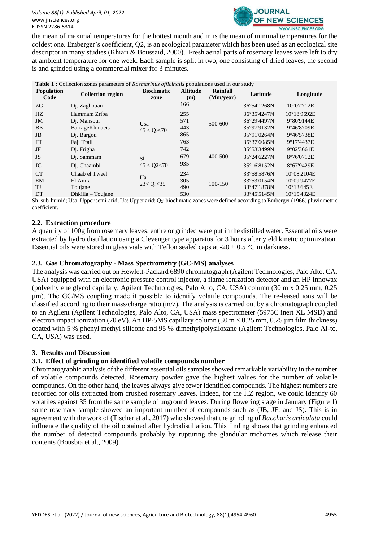

the mean of maximal temperatures for the hottest month and m is the mean of minimal temperatures for the coldest one. Emberger's coefficient, Q2, is an ecological parameter which has been used as an ecological site descriptor in many studies (Khiari & Boussaid, 2000). Fresh aerial parts of rosemary leaves were left to dry at ambient temperature for one week. Each sample is split in two, one consisting of dried leaves, the second is and grinded using a commercial mixer for 3 minutes.

#### **Table 1 :** Collection zones parameters of *Rosmarinus officinalis* populations used in our study

| <b>Population</b><br>Code | <b>Collection region</b>  | <b>Bioclimatic</b><br>zone | <b>Altitude</b><br>(m) | Rainfall<br>(Mm/year) | Latitude    | Longitude            |  |  |
|---------------------------|---------------------------|----------------------------|------------------------|-----------------------|-------------|----------------------|--|--|
| ZG                        | D <sub>1</sub> . Zaghouan |                            | 166                    |                       | 36°54'1268N | $10^{\circ}07'712E$  |  |  |
| HZ                        | Hammam Zriba              |                            | 255                    |                       | 36°35'4247N | $10^{\circ}18'9692E$ |  |  |
| JM                        | D <sub>j</sub> . Mansour  | Usa                        | 571                    | 500-600               | 36°29'4497N | 9°80'9144E           |  |  |
| BK                        | BarrageKhmaeis            | $45 < Q_2 < 70$            | 443                    |                       | 35°97'9132N | 9°46'8709E           |  |  |
| JB                        | D <sub>j</sub> . Bargou   |                            | 865                    |                       | 35°91'0264N | 9°46'5738E           |  |  |
| FT                        | Fajj Tfall                |                            | 763                    |                       | 35°37'6085N | 9°17'4437E           |  |  |
| JF                        | Dj. Frigha                |                            | 742                    |                       | 35°53'3499N | 9°02'3661E           |  |  |
| JS                        | Dj. Sammam                | Sh                         | 679                    | 400-500               | 35°24'6227N | 8°76'0712E           |  |  |
| JC                        | Di. Chaambi               | 45 < Q2 < 70               | 935                    |                       | 35°16'8152N | 8°67'9429E           |  |  |
| <b>CT</b>                 | Chaab el Tweel            |                            | 234                    |                       | 33°58'5876N | $10^{\circ}08'2104E$ |  |  |
| EM                        | El Amra                   | Ua                         | 305                    | 100-150               | 33°53'0154N | 10°09'9477E          |  |  |
| TJ                        | Toujane                   | $23 < Q_2 < 35$            | 490                    |                       | 33°47'1878N | $10^{\circ}13'645E$  |  |  |
| DT                        | $Dh$ killa – Toujane      |                            | 530                    |                       | 33°45'5145N | $10^{\circ}15'4324E$ |  |  |

Sh: sub-humid; Usa: Upper semi-arid; Ua: Upper arid; Q2: bioclimatic zones were defined according to Emberger (1966) pluviometric coefficient.

#### **2.2. Extraction procedure**

A quantity of 100g from rosemary leaves, entire or grinded were put in the distilled water. Essential oils were extracted by hydro distillation using a Clevenger type apparatus for 3 hours after yield kinetic optimization. Essential oils were stored in glass vials with Teflon sealed caps at -20  $\pm$  0.5 °C in darkness.

#### **2.3. Gas Chromatography - Mass Spectrometry (GC-MS) analyses**

The analysis was carried out on Hewlett-Packard 6890 chromatograph (Agilent Technologies, Palo Alto, CA, USA) equipped with an electronic pressure control injector, a flame ionization detector and an HP Innowax (polyethylene glycol capillary, Agilent Technologies, Palo Alto, CA, USA) column (30 m x 0.25 mm; 0.25 μm). The GC/MS coupling made it possible to identify volatile compounds. The re-leased ions will be classified according to their mass/charge ratio (m/z). The analysis is carried out by a chromatograph coupled to an Agilent (Agilent Technologies, Palo Alto, CA, USA) mass spectrometer (5975C inert XL MSD) and electron impact ionization (70 eV). An HP-5MS capillary column (30 m  $\times$  0.25 mm, 0.25 µm film thickness) coated with 5 % phenyl methyl silicone and 95 % dimethylpolysiloxane (Agilent Technologies, Palo Al-to, CA, USA) was used.

#### **3. Results and Discussion**

#### **3.1. Effect of grinding on identified volatile compounds number**

Chromatographic analysis of the different essential oils samples showed remarkable variability in the number of volatile compounds detected. Rosemary powder gave the highest values for the number of volatile compounds. On the other hand, the leaves always give fewer identified compounds. The highest numbers are recorded for oils extracted from crushed rosemary leaves. Indeed, for the HZ region, we could identify 60 volatiles against 35 from the same sample of unground leaves. During flowering stage in January (Figure 1) some rosemary sample showed an important number of compounds such as (JB, JF, and JS). This is in agreement with the work of (Tischer et al., 2017) who showed that the grinding of *Baccharis articulata* could influence the quality of the oil obtained after hydrodistillation. This finding shows that grinding enhanced the number of detected compounds probably by rupturing the glandular trichomes which release their contents (Bousbia et al., 2009).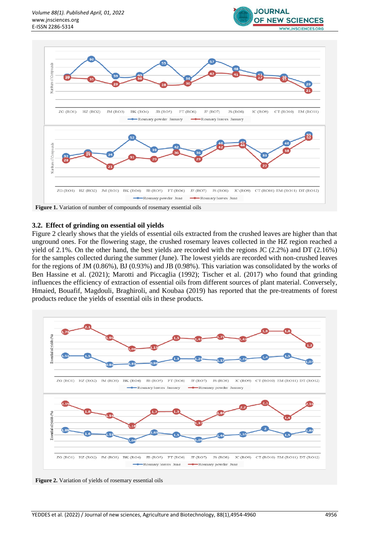



**Figure 1.** Variation of number of compounds of rosemary essential oils

#### **3.2. Effect of grinding on essential oil yields**

Figure 2 clearly shows that the yields of essential oils extracted from the crushed leaves are higher than that unground ones. For the flowering stage, the crushed rosemary leaves collected in the HZ region reached a yield of 2.1%. On the other hand, the best yields are recorded with the regions JC (2.2%) and DT (2.16%) for the samples collected during the summer (June). The lowest yields are recorded with non-crushed leaves for the regions of JM (0.86%), BJ (0.93%) and JB (0.98%). This variation was consolidated by the works of Ben Hassine et al. (2021); Marotti and Piccaglia (1992); Tischer et al. (2017) who found that grinding influences the efficiency of extraction of essential oils from different sources of plant material. Conversely, Hmaied, Bouafif, Magdouli, Braghiroli, and Koubaa (2019) has reported that the pre-treatments of forest products reduce the yields of essential oils in these products.



**Figure 2.** Variation of yields of rosemary essential oils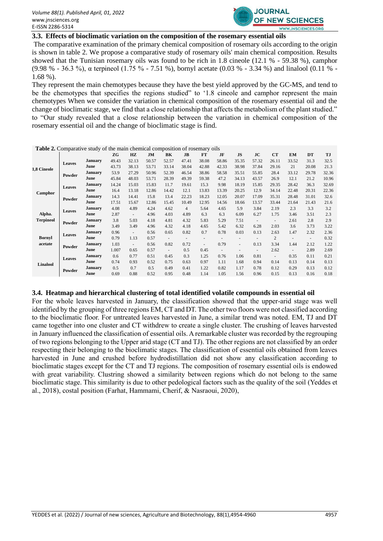

## **3.3. Effects of bioclimatic variation on the composition of the rosemary essential oils**

The comparative examination of the primary chemical composition of rosemary oils according to the origin is shown in table 2. We propose a comparative study of rosemary oils' main chemical composition. Results showed that the Tunisian rosemary oils was found to be rich in 1.8 cineole (12.1 % - 59.38 %), camphor (9.98 % - 36.3 %), α terpineol (1.75 % - 7.51 %), bornyl acetate (0.03 % - 3.34 %) and linalool (0.11 % - 1.68 %).

They represent the main chemotypes because they have the best yield approved by the GC-MS, and tend to be the chemotypes that specifies the regions studied" to '1.8 cineole and camphor represent the main chemotypes When we consider the variation in chemical composition of the rosemary essential oil and the change of bioclimatic stage, we find that a close relationship that affects the metabolism of the plant studied." to "Our study revealed that a close relationship between the variation in chemical composition of the rosemary essential oil and the change of bioclimatic stage is find.

| <b>Table 2.</b> Comparative study of the main chemical composition of rosemary oils |                       |                |       |                          |       |        |                          |                          |                          |                          |                          |                          |        |                          |           |
|-------------------------------------------------------------------------------------|-----------------------|----------------|-------|--------------------------|-------|--------|--------------------------|--------------------------|--------------------------|--------------------------|--------------------------|--------------------------|--------|--------------------------|-----------|
|                                                                                     |                       |                | ZG    | HZ                       | JM    | BK     | JB                       | <b>FT</b>                | JF                       | <b>JS</b>                | <b>JC</b>                | CT                       | EM     | DT                       | <b>TJ</b> |
| 1,8 Cineole                                                                         | <b>Leaves</b>         | <b>January</b> | 49.43 | 32.13                    | 50.57 | 52.57  | 47.41                    | 38.08                    | 58.86                    | 35.35                    | 57.32                    | 26.11                    | 33.52  | 31.3                     | 32.5      |
|                                                                                     |                       | June           | 43.73 | 38.13                    | 53.71 | 33.14  | 38.04                    | 42.88                    | 42.33                    | 38.98                    | 37.84                    | 29.16                    | 21     | 20.08                    | 21.3      |
|                                                                                     | Powder                | <b>January</b> | 53.9  | 27.29                    | 50.96 | 52.39  | 46.54                    | 38.86                    | 58.58                    | 35.51                    | 55.85                    | 28.4                     | 33.12  | 29.78                    | 32.36     |
|                                                                                     |                       | June           | 45.84 | 48.03                    | 53.71 | 28.39  | 49.39                    | 59.38                    | 47.2                     | 34.13                    | 43.57                    | 26.9                     | 12.1   | 21.2                     | 10.96     |
| Camphor                                                                             | <b>Leaves</b><br>June | <b>January</b> | 14.24 | 15.03                    | 15.83 | 11.7   | 19.61                    | 15.3                     | 9.98                     | 18.19                    | 15.85                    | 29.35                    | 28.42  | 36.3                     | 32.69     |
|                                                                                     |                       |                | 16.4  | 13.18                    | 12.86 | 14.42  | 12.1                     | 13.83                    | 13.39                    | 20.25                    | 12.9                     | 34.14                    | 22.48  | 20.31                    | 22.36     |
|                                                                                     | Powder                | <b>January</b> | 14.3  | 14.41                    | 15.8  | 13.4   | 22.23                    | 18.23                    | 12.05                    | 20.07                    | 17.09                    | 35.31                    | 28.48  | 31.01                    | 32.6      |
|                                                                                     |                       | June           | 17.51 | 15.67                    | 12.86 | 15.45  | 10.49                    | 12.95                    | 14.56                    | 18.66                    | 13.57                    | 33.44                    | 21.64  | 21.43                    | 21.6      |
| Alpha.<br><b>Terpineol</b>                                                          | <b>Leaves</b>         | <b>January</b> | 4.08  | 4.89                     | 4.24  | 4.62   | $\overline{4}$           | 5.64                     | 4.65                     | 5.9                      | 3.84                     | 2.19                     | 2.3    | 3.3                      | 3.2       |
|                                                                                     |                       | June           | 2.87  | $\overline{\phantom{a}}$ | 4.96  | 4.03   | 4.89                     | 6.3                      | 6.3                      | 6.09                     | 6.27                     | 1.75                     | 3.46   | 3.51                     | 2.3       |
|                                                                                     | Powder                | <b>January</b> | 3.8   | 5.03                     | 4.18  | 4.81   | 4.32                     | 5.83                     | 5.29                     | 7.51                     | $\overline{\phantom{a}}$ | $\overline{\phantom{a}}$ | 2.61   | 2.8                      | 2.9       |
|                                                                                     |                       | June           | 3.49  | 3.49                     | 4.96  | 4.32   | 4.18                     | 4.65                     | 5.42                     | 6.32                     | 6.28                     | 2.03                     | 3.6    | 3.73                     | 3.22      |
| <b>Bornyl</b><br>acetate                                                            | <b>Leaves</b><br>June | <b>January</b> | 0.96  | $\overline{a}$           | 0.56  | 0.65   | 0.82                     | 0.7                      | 0.78                     | 0.03                     | 0.13                     | 2.63                     | 1.47   | 2.32                     | 2.36      |
|                                                                                     |                       |                | 0.79  | 1.13                     | 0.57  | $\sim$ | $\overline{\phantom{a}}$ | $\overline{\phantom{a}}$ | $\overline{\phantom{a}}$ | $\overline{\phantom{a}}$ | $\overline{\phantom{a}}$ | $\overline{2}$           | ٠      | $\overline{\phantom{a}}$ | 0.32      |
|                                                                                     | Powder                | <b>January</b> | 1.03  | $\overline{\phantom{a}}$ | 0.56  | 0.82   | 0.72                     | $\blacksquare$           | 0.79                     | $\overline{\phantom{a}}$ | 0.13                     | 3.34                     | 1.44   | 2.12                     | 1.22      |
|                                                                                     |                       | June           | 1.007 | 0.65                     | 0.57  | $\sim$ | 0.5                      | 0.45                     | $\overline{\phantom{a}}$ | $\overline{\phantom{a}}$ | $\sim$                   | 2.62                     | $\sim$ | 2.89                     | 2.69      |
| Linalool                                                                            | <b>Leaves</b>         | <b>January</b> | 0.6   | 0.77                     | 0.51  | 0.45   | 0.3                      | 1.25                     | 0.76                     | 1.06                     | 0.81                     | $\overline{\phantom{a}}$ | 0.35   | 0.11                     | 0.21      |
|                                                                                     |                       | June           | 0.74  | 0.93                     | 0.52  | 0.75   | 0.63                     | 0.97                     | 1.11                     | 1.68                     | 0.94                     | 0.14                     | 0.13   | 0.14                     | 0.13      |
|                                                                                     | Powder                | <b>January</b> | 0.5   | 0.7                      | 0.5   | 0.49   | 0.41                     | 1.22                     | 0.82                     | 1.17                     | 0.78                     | 0.12                     | 0.29   | 0.13                     | 0.12      |
|                                                                                     |                       | June           | 0.69  | 0.88                     | 0.52  | 0.95   | 0.48                     | 1.14                     | 1.05                     | 1.56                     | 0.96                     | 0.15                     | 0.13   | 0.16                     | 0.18      |

#### **3.4. Heatmap and hierarchical clustering of total identified volatile compounds in essential oil**

For the whole leaves harvested in January, the classification showed that the upper-arid stage was well identified by the grouping of three regions EM, CT and DT. The other two floors were not classified according to the bioclimatic floor. For untreated leaves harvested in June, a similar trend was noted. EM, TJ and DT came together into one cluster and CT withdrew to create a single cluster. The crushing of leaves harvested in January influenced the classification of essential oils. A remarkable cluster was recorded by the regrouping of two regions belonging to the Upper arid stage (CT and TJ). The other regions are not classified by an order respecting their belonging to the bioclimatic stages. The classification of essential oils obtained from leaves harvested in June and crushed before hydrodistillation did not show any classification according to bioclimatic stages except for the CT and TJ regions. The composition of rosemary essential oils is endowed with great variability. Clustring showed a similarity between regions which do not belong to the same bioclimatic stage. This similarity is due to other pedological factors such as the quality of the soil (Yeddes et al., 2018), costal position (Farhat, Hammami, Cherif, & Nasraoui, 2020),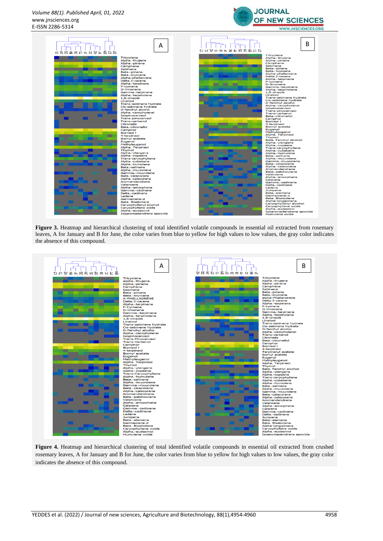



**Figure 3.** Heatmap and hierarchical clustering of total identified volatile compounds in essential oil extracted from rosemary leaves, A for January and B for June, the color varies from blue to yellow for high values to low values, the gray color indicates the absence of this compound.



**Figure 4.** Heatmap and hierarchical clustering of total identified volatile compounds in essential oil extracted from crushed rosemary leaves, A for January and B for June, the color varies from blue to yellow for high values to low values, the gray color indicates the absence of this compound.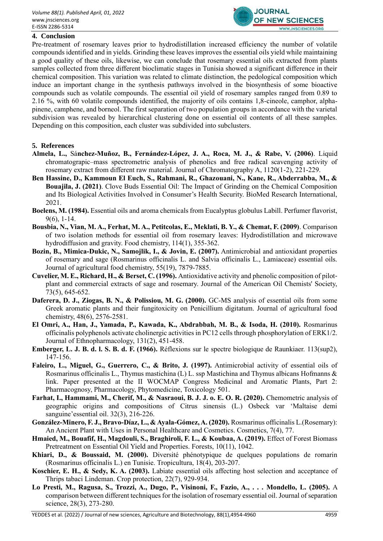

#### **4. Conclusion**

Pre-treatment of rosemary leaves prior to hydrodistillation increased efficiency the number of volatile compounds identified and in yields. Grinding these leaves improves the essential oils yield while maintaining a good quality of these oils, likewise, we can conclude that rosemary essential oils extracted from plants samples collected from three different bioclimatic stages in Tunisia showed a significant difference in their chemical composition. This variation was related to climate distinction, the pedological composition which induce an important change in the synthesis pathways involved in the biosynthesis of some bioactive compounds such as volatile compounds. The essential oil yield of rosemary samples ranged from 0.89 to 2.16 %, with 60 volatile compounds identified, the majority of oils contains 1,8-cineole, camphor, alphapinene, camphene, and borneol. The first separation of two population groups in accordance with the varietal subdivision was revealed by hierarchical clustering done on essential oil contents of all these samples. Depending on this composition, each cluster was subdivided into subclusters.

### **5. References**

- **Almela, L.,** Sá**nchez-Muñoz, B., Fernández-López, J. A., Roca, M. J., & Rabe, V. (2006)**. Liquid chromatograpic–mass spectrometric analysis of phenolics and free radical scavenging activity of rosemary extract from different raw material. Journal of Chromatography A, 1120(1-2), 221-229.
- **Ben Hassine, D., Kammoun El Euch, S., Rahmani, R., Ghazouani, N., Kane, R., Abderrabba, M., & Bouajila, J. (2021)**. Clove Buds Essential Oil: The Impact of Grinding on the Chemical Composition and Its Biological Activities Involved in Consumer's Health Security. BioMed Research International, 2021.
- **Boelens, M. (1984).** Essential oils and aroma chemicals from Eucalyptus globulus Labill. Perfumer flavorist, 9(6), 1-14.
- **Bousbia, N., Vian, M. A., Ferhat, M. A., Petitcolas, E., Meklati, B. Y., & Chemat, F. (2009)**. Comparison of two isolation methods for essential oil from rosemary leaves: Hydrodistillation and microwave hydrodiffusion and gravity. Food chemistry, 114(1), 355-362.
- **Bozin, B., Mimica-Dukic, N., Samojlik, I., & Jovin, E. (2007).** Antimicrobial and antioxidant properties of rosemary and sage (Rosmarinus officinalis L. and Salvia officinalis L., Lamiaceae) essential oils. Journal of agricultural food chemistry, 55(19), 7879-7885.
- **Cuvelier, M. E., Richard, H., & Berset, C. (1996).** Antioxidative activity and phenolic composition of pilot‐ plant and commercial extracts of sage and rosemary. Journal of the American Oil Chemists' Society, 73(5), 645-652.
- **Daferera, D. J., Ziogas, B. N., & Polissiou, M. G. (2000).** GC-MS analysis of essential oils from some Greek aromatic plants and their fungitoxicity on Penicillium digitatum. Journal of agricultural food chemistry, 48(6), 2576-2581.
- **El Omri, A., Han, J., Yamada, P., Kawada, K., Abdrabbah, M. B., & Isoda, H. (2010).** Rosmarinus officinalis polyphenols activate cholinergic activities in PC12 cells through phosphorylation of ERK1/2. Journal of Ethnopharmacology, 131(2), 451-458.
- **Emberger, L. J. B. d. l. S. B. d. F. (1966).** Réflexions sur le spectre biologique de Raunkiaer. 113(sup2), 147-156.
- **Faleiro, L., Miguel, G., Guerrero, C., & Brito, J. (1997).** Antimicrobial activity of essential oils of Rosmarinus officinalis L., Thymus mastichina (L) L. ssp Mastichina and Thymus albicans Hofmanns & link. Paper presented at the II WOCMAP Congress Medicinal and Aromatic Plants, Part 2: Pharmacognosy, Pharmacology, Phytomedicine, Toxicology 501.
- **Farhat, I., Hammami, M., Cherif, M., & Nasraoui, B. J. J. o. E. O. R. (2020).** Chemometric analysis of geographic origins and compositions of Citrus sinensis (L.) Osbeck var 'Maltaise demi sanguine'essential oil. 32(3), 216-226.
- **González-Minero, F. J., Bravo-Díaz, L., & Ayala-Gómez, A. (2020).** Rosmarinus officinalis L.(Rosemary): An Ancient Plant with Uses in Personal Healthcare and Cosmetics. Cosmetics, 7(4), 77.
- **Hmaied, M., Bouafif, H., Magdouli, S., Braghiroli, F. L., & Koubaa, A. (2019).** Effect of Forest Biomass Pretreatment on Essential Oil Yield and Properties. Forests, 10(11), 1042.
- **Khiari, D., & Boussaid, M. (2000).** Diversité phénotypique de quelques populations de romarin (Rosmarinus officinalis L.) en Tunisie. Tropicultura, 18(4), 203-207.
- **Koschier, E. H., & Sedy, K. A. (2003).** Labiate essential oils affecting host selection and acceptance of Thrips tabaci Lindeman. Crop protection, 22(7), 929-934.
- **Lo Presti, M., Ragusa, S., Trozzi, A., Dugo, P., Visinoni, F., Fazio, A., . . . Mondello, L. (2005).** A comparison between different techniques for the isolation of rosemary essential oil. Journal of separation science, 28(3), 273-280.